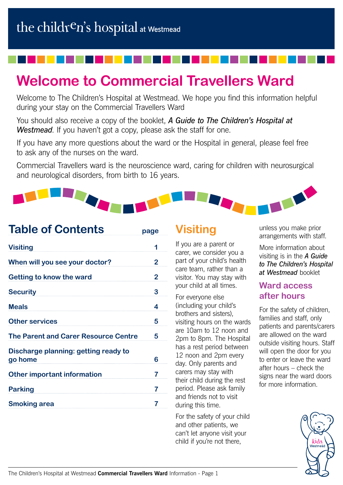# **Welcome to Commercial Travellers Ward**

Welcome to The Children's Hospital at Westmead. We hope you find this information helpful during your stay on the Commercial Travellers Ward

You should also receive a copy of the booklet, *A Guide to The Children's Hospital at Westmead*. If you haven't got a copy, please ask the staff for one.

If you have any more questions about the ward or the Hospital in general, please feel free to ask any of the nurses on the ward.

Commercial Travellers ward is the neuroscience ward, caring for children with neurosurgical and neurological disorders, from birth to 16 years.



| <b>Table of Contents</b>                        | page           |
|-------------------------------------------------|----------------|
| <b>Visiting</b>                                 | 1              |
| When will you see your doctor?                  | 2              |
| Getting to know the ward                        | $\overline{2}$ |
| <b>Security</b>                                 | 3              |
| <b>Meals</b>                                    | 4              |
| <b>Other services</b>                           | 5              |
| <b>The Parent and Carer Resource Centre</b>     | 5              |
| Discharge planning: getting ready to<br>go home | 6              |
| <b>Other important information</b>              | 7              |
| <b>Parking</b>                                  | 7              |
| <b>Smoking area</b>                             | 7              |

## **Visiting**

If you are a parent or carer, we consider you a part of your child's health care team, rather than a visitor. You may stay with your child at all times.

For everyone else (including your child's brothers and sisters), visiting hours on the wards are 10am to 12 noon and 2pm to 8pm. The Hospital has a rest period between 12 noon and 2pm every day. Only parents and carers may stay with their child during the rest period. Please ask family and friends not to visit during this time.

For the safety of your child and other patients, we can't let anyone visit your child if you're not there,

unless you make prior arrangements with staff.

More information about visiting is in the *A Guide to The Children's Hospital at Westmead* booklet

### **Ward access after hours**

For the safety of children, families and staff, only patients and parents/carers are allowed on the ward outside visiting hours. Staff will open the door for you to enter or leave the ward after hours – check the signs near the ward doors for more information.

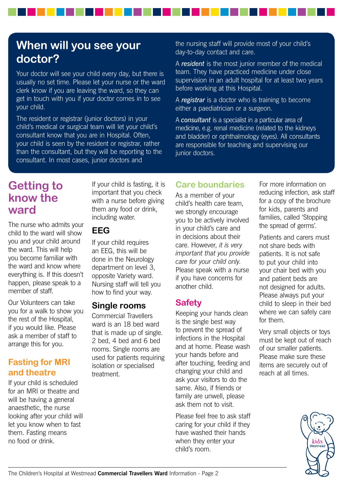## **When will you see your doctor?**

Your doctor will see your child every day, but there is usually no set time. Please let your nurse or the ward clerk know if you are leaving the ward, so they can get in touch with you if your doctor comes in to see your child.

The resident or registrar (junior doctors) in your child's medical or surgical team will let your child's consultant know that you are in Hospital. Often, your child is seen by the resident or registrar, rather than the consultant, but they will be reporting to the consultant. In most cases, junior doctors and

the nursing staff will provide most of your child's day-to-day contact and care.

A *resident* is the most junior member of the medical team. They have practiced medicine under close supervision in an adult hospital for at least two years before working at this Hospital.

A *registrar* is a doctor who is training to become either a paediatrician or a surgeon.

A *consultant* is a specialist in a particular area of medicine, e.g. renal medicine (related to the kidneys and bladder) or ophthalmology (eyes). All consultants are responsible for teaching and supervising our junior doctors.

### **Getting to know the ward**

The nurse who admits your child to the ward will show you and your child around the ward. This will help you become familiar with the ward and know where everything is. If this doesn't happen, please speak to a member of staff.

Our Volunteers can take you for a walk to show you the rest of the Hospital, if you would like. Please ask a member of staff to arrange this for you.

#### **Fasting for MRI and theatre**

If your child is scheduled for an MRI or theatre and will be having a general anaesthetic, the nurse looking after your child will let you know when to fast them. Fasting means no food or drink.

If your child is fasting, it is important that you check with a nurse before giving them any food or drink, including water.

#### **EEG**

If your child requires an EEG, this will be done in the Neurology department on level 3, opposite Variety ward. Nursing staff will tell you how to find your way.

### **Single rooms**

Commercial Travellers ward is an 18 bed ward that is made up of single. 2 bed, 4 bed and 6 bed rooms. Single rooms are used for patients requiring isolation or specialised treatment.

### **Care boundaries**

As a member of your child's health care team, we strongly encourage you to be actively involved in your child's care and in decisions about their care. However, *it is very important that you provide care for your child only*. Please speak with a nurse if you have concerns for another child.

### **Safety**

Keeping your hands clean is the single best way to prevent the spread of infections in the Hospital and at home. Please wash your hands before and after touching, feeding and changing your child and ask your visitors to do the same. Also, if friends or family are unwell, please ask them not to visit.

Please feel free to ask staff caring for your child if they have washed their hands when they enter your child's room.

For more information on reducing infection, ask staff for a copy of the brochure for kids, parents and families, called 'Stopping the spread of germs'.

Patients and carers must not share beds with patients. It is not safe to put your child into your chair bed with you and patient beds are not designed for adults. Please always put your child to sleep in their bed where we can safely care for them.

Very small objects or toys must be kept out of reach of our smaller patients. Please make sure these items are securely out of reach at all times.

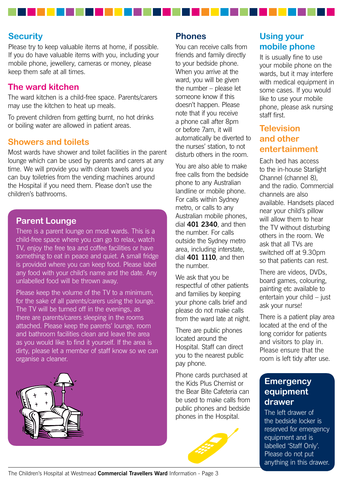#### **Security**

Please try to keep valuable items at home, if possible. If you do have valuable items with you, including your mobile phone, jewellery, cameras or money, please keep them safe at all times.

#### **The ward kitchen**

The ward kitchen is a child-free space. Parents/carers may use the kitchen to heat up meals.

To prevent children from getting burnt, no hot drinks or boiling water are allowed in patient areas.

#### **Showers and toilets**

Most wards have shower and toilet facilities in the parent lounge which can be used by parents and carers at any time. We will provide you with clean towels and you can buy toiletries from the vending machines around the Hospital if you need them. Please don't use the children's bathrooms.

#### **Parent Lounge**

There is a parent lounge on most wards. This is a child-free space where you can go to relax, watch TV, enjoy the free tea and coffee facilities or have something to eat in peace and quiet. A small fridge is provided where you can keep food. Please label any food with your child's name and the date. Any unlabelled food will be thrown away.

Please keep the volume of the TV to a minimum, for the sake of all parents/carers using the lounge. The TV will be turned off in the evenings, as there are parents/carers sleeping in the rooms attached. Please keep the parents' lounge, room and bathroom facilities clean and leave the area as you would like to find it yourself. If the area is dirty, please let a member of staff know so we can organise a cleaner.



#### **Phones**

You can receive calls from friends and family directly to your bedside phone. When you arrive at the ward, you will be given the number – please let someone know if this doesn't happen. Please note that if you receive a phone call after 8pm or before 7am, it will automatically be diverted to the nurses' station, to not disturb others in the room.

You are also able to make free calls from the bedside phone to any Australian landline or mobile phone. For calls within Sydney metro, or calls to any Australian mobile phones, dial **401 2340**, and then the number. For calls outside the Sydney metro area, including interstate, dial **401 1110**, and then the number.

We ask that you be respectful of other patients and families by keeping your phone calls brief and please do not make calls from the ward late at night.

There are public phones located around the Hospital. Staff can direct you to the nearest public pay phone.

Phone cards purchased at the Kids Plus Chemist or the Bear Bite Cafeteria can be used to make calls from public phones and bedside phones in the Hospital.



### **Using your mobile phone**

It is usually fine to use your mobile phone on the wards, but it may interfere with medical equipment in some cases. If you would like to use your mobile phone, please ask nursing staff first.

### **Television and other entertainment**

Each bed has access to the in-house Starlight Channel (channel 8), and the radio. Commercial channels are also available. Handsets placed near your child's pillow will allow them to hear the TV without disturbing others in the room. We ask that all TVs are switched off at 9.30pm so that patients can rest.

There are videos, DVDs, board games, colouring, painting etc available to entertain your child – just ask your nurse!

There is a patient play area located at the end of the long corridor for patients and visitors to play in. Please ensure that the room is left tidy after use.

#### **Emergency equipment drawer**

The left drawer of the bedside locker is reserved for emergency equipment and is labelled 'Staff Only'. Please do not put anything in this drawer.

The Children's Hospital at Westmead **Commercial Travellers Ward** Information - Page 3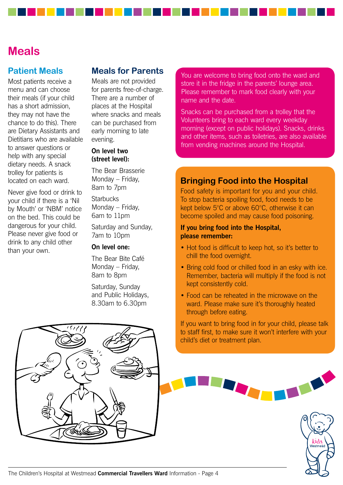### **Meals**

#### **Patient Meals**

Most patients receive a menu and can choose their meals (if your child has a short admission, they may not have the chance to do this). There are Dietary Assistants and Dietitians who are available to answer questions or help with any special dietary needs. A snack trolley for patients is located on each ward.

Never give food or drink to your child if there is a 'Nil by Mouth' or 'NBM' notice on the bed. This could be dangerous for your child. Please never give food or drink to any child other than your own.

#### **Meals for Parents**

Meals are not provided for parents free-of-charge. There are a number of places at the Hospital where snacks and meals can be purchased from early morning to late evening.

#### **On level two (street level):**

The Bear Brasserie Monday – Friday, 8am to 7pm

**Starbucks** Monday – Friday, 6am to 11pm

Saturday and Sunday, 7am to 10pm

#### **On level one:**

The Bear Bite Café Monday – Friday, 8am to 8pm

Saturday, Sunday and Public Holidays, 8.30am to 6.30pm

You are welcome to bring food onto the ward and store it in the fridge in the parents' lounge area. Please remember to mark food clearly with your name and the date.

Snacks can be purchased from a trolley that the Volunteers bring to each ward every weekday morning (except on public holidays). Snacks, drinks and other items, such as toiletries, are also available from vending machines around the Hospital.

#### **Bringing Food into the Hospital**

Food safety is important for you and your child. To stop bacteria spoiling food, food needs to be kept below 5°C or above 60°C, otherwise it can become spoiled and may cause food poisoning.

#### **If you bring food into the Hospital, please remember:**

- Hot food is difficult to keep hot, so it's better to chill the food overnight.
- Bring cold food or chilled food in an esky with ice. Remember, bacteria will multiply if the food is not kept consistently cold.
- Food can be reheated in the microwave on the ward. Please make sure it's thoroughly heated through before eating.

If you want to bring food in for your child, please talk to staff first, to make sure it won't interfere with your child's diet or treatment plan.



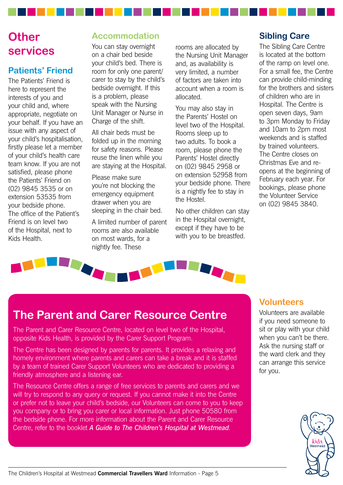## **Other services**

### **Patients' Friend**

The Patients' Friend is here to represent the interests of you and your child and, where appropriate, negotiate on your behalf. If you have an issue with any aspect of your child's hospitalisation, firstly please let a member of your child's health care team know. If you are not satisfied, please phone the Patients' Friend on (02) 9845 3535 or on extension 53535 from your bedside phone. The office of the Patient's Friend is on level two of the Hospital, next to Kids Health.

### **Accommodation**

You can stay overnight on a chair bed beside your child's bed. There is room for only one parent/ carer to stay by the child's bedside overnight. If this is a problem, please speak with the Nursing Unit Manager or Nurse in Charge of the shift.

All chair beds must be folded up in the morning for safety reasons. Please reuse the linen while you are staying at the Hospital.

Please make sure you're not blocking the emergency equipment drawer when you are sleeping in the chair bed.

A limited number of parent rooms are also available on most wards, for a nightly fee. These

rooms are allocated by the Nursing Unit Manager and, as availability is very limited, a number of factors are taken into account when a room is allocated.

You may also stay in the Parents' Hostel on level two of the Hospital. Rooms sleep up to two adults. To book a room, please phone the Parents' Hostel directly on (02) 9845 2958 or on extension 52958 from your bedside phone. There is a nightly fee to stay in the Hostel.

No other children can stay in the Hospital overnight, except if they have to be with you to be breastfed.

### **Sibling Care**

The Sibling Care Centre is located at the bottom of the ramp on level one. For a small fee, the Centre can provide child-minding for the brothers and sisters of children who are in Hospital. The Centre is open seven days, 9am to 3pm Monday to Friday and 10am to 2pm most weekends and is staffed by trained volunteers. The Centre closes on Christmas Eve and reopens at the beginning of February each year. For bookings, please phone the Volunteer Service on (02) 9845 3840.



## **The Parent and Carer Resource Centre**

The Parent and Carer Resource Centre, located on level two of the Hospital, opposite Kids Health, is provided by the Carer Support Program.

The Centre has been designed by parents for parents. It provides a relaxing and homely environment where parents and carers can take a break and it is staffed by a team of trained Carer Support Volunteers who are dedicated to providing a friendly atmosphere and a listening ear.

The Resource Centre offers a range of free services to parents and carers and we will try to respond to any query or request. If you cannot make it into the Centre or prefer not to leave your child's bedside, our Volunteers can come to you to keep you company or to bring you carer or local information. Just phone 50580 from the bedside phone. For more information about the Parent and Carer Resource Centre, refer to the booklet *A Guide to The Children's Hospital at Westmead*.

#### **Volunteers**

Volunteers are available if you need someone to sit or play with your child when you can't be there. Ask the nursing staff or the ward clerk and they can arrange this service for you.

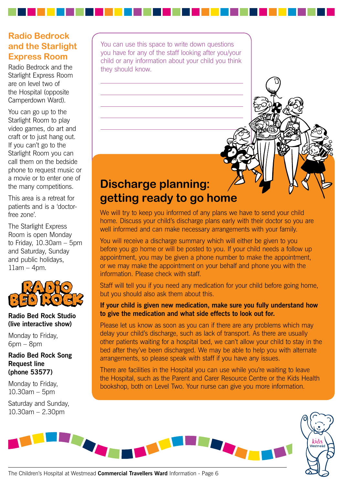### **Radio Bedrock and the Starlight Express Room**

Radio Bedrock and the Starlight Express Room are on level two of the Hospital (opposite Camperdown Ward).

You can go up to the Starlight Room to play video games, do art and craft or to just hang out. If you can't go to the Starlight Room you can call them on the bedside phone to request music or a movie or to enter one of the many competitions.

This area is a retreat for patients and is a 'doctorfree zone'.

The Starlight Express Room is open Monday to Friday, 10.30am – 5pm and Saturday, Sunday and public holidays,  $11$ am  $-$  4pm.



#### **Radio Bed Rock Studio (live interactive show)**

Monday to Friday,  $6$ pm –  $8$ pm

#### **Radio Bed Rock Song Request line (phone 53577)**

Monday to Friday, 10.30am – 5pm

Saturday and Sunday, 10.30am – 2.30pm

You can use this space to write down questions you have for any of the staff looking after you/your child or any information about your child you think they should know.

## **Discharge planning: getting ready to go home**

We will try to keep you informed of any plans we have to send your child home. Discuss your child's discharge plans early with their doctor so you are well informed and can make necessary arrangements with your family.

You will receive a discharge summary which will either be given to you before you go home or will be posted to you. If your child needs a follow up appointment, you may be given a phone number to make the appointment, or we may make the appointment on your behalf and phone you with the information. Please check with staff.

Staff will tell you if you need any medication for your child before going home, but you should also ask them about this.

#### **If your child is given new medication, make sure you fully understand how to give the medication and what side effects to look out for.**

Please let us know as soon as you can if there are any problems which may delay your child's discharge, such as lack of transport. As there are usually other patients waiting for a hospital bed, we can't allow your child to stay in the bed after they've been discharged. We may be able to help you with alternate arrangements, so please speak with staff if you have any issues.

There are facilities in the Hospital you can use while you're waiting to leave the Hospital, such as the Parent and Carer Resource Centre or the Kids Health bookshop, both on Level Two. Your nurse can give you more information.